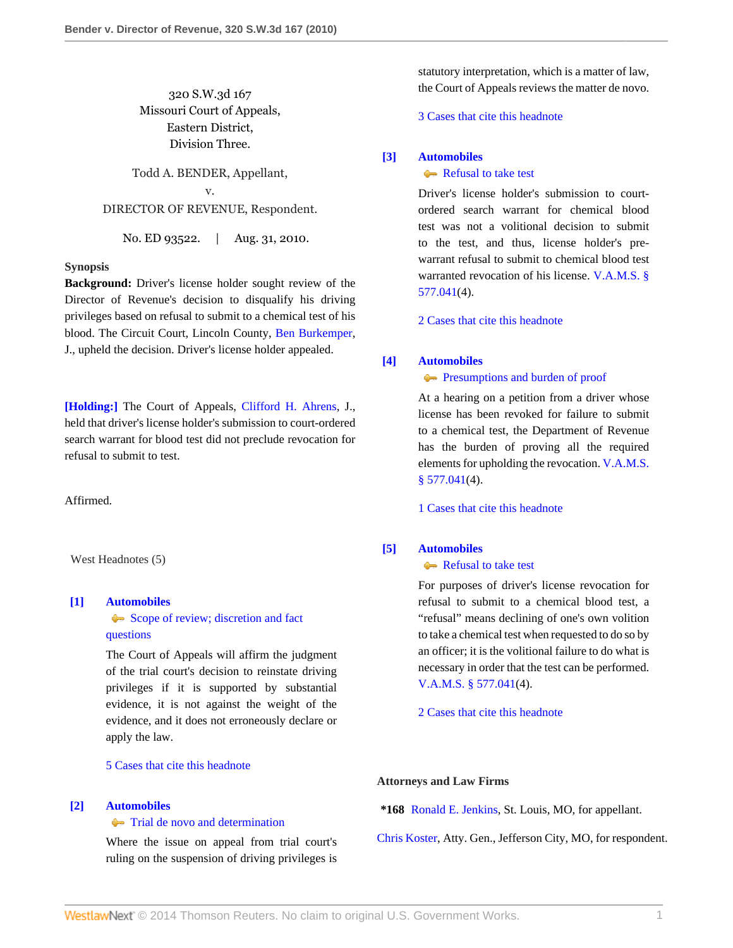# 320 S.W.3d 167 Missouri Court of Appeals, Eastern District, Division Three.

Todd A. BENDER, Appellant, v. DIRECTOR OF REVENUE, Respondent.

No. ED 93522. | Aug. 31, 2010.

## **Synopsis**

**Background:** Driver's license holder sought review of the Director of Revenue's decision to disqualify his driving privileges based on refusal to submit to a chemical test of his blood. The Circuit Court, Lincoln County, [Ben Burkemper](http://www.westlaw.com/Link/Document/FullText?findType=h&pubNum=176284&cite=0253633701&originatingDoc=Icec9d705b4ec11df84cb933efb759da4&refType=RQ&originationContext=document&vr=3.0&rs=cblt1.0&transitionType=DocumentItem&contextData=(sc.Search)), J., upheld the decision. Driver's license holder appealed.

**[\[Holding:\]](#page-0-0)** The Court of Appeals, [Clifford H. Ahrens](http://www.westlaw.com/Link/Document/FullText?findType=h&pubNum=176284&cite=0236564601&originatingDoc=Icec9d705b4ec11df84cb933efb759da4&refType=RQ&originationContext=document&vr=3.0&rs=cblt1.0&transitionType=DocumentItem&contextData=(sc.Search)), J., held that driver's license holder's submission to court-ordered search warrant for blood test did not preclude revocation for refusal to submit to test.

Affirmed.

West Headnotes (5)

# <span id="page-0-1"></span>**[\[1\]](#page-1-0) [Automobiles](http://www.westlaw.com/Browse/Home/KeyNumber/48A/View.html?docGuid=Icec9d705b4ec11df84cb933efb759da4&originationContext=document&vr=3.0&rs=cblt1.0&transitionType=DocumentItem&contextData=(sc.Search))**

[Scope of review; discretion and fact](http://www.westlaw.com/Browse/Home/KeyNumber/48Ak144.2(3)/View.html?docGuid=Icec9d705b4ec11df84cb933efb759da4&originationContext=document&vr=3.0&rs=cblt1.0&transitionType=DocumentItem&contextData=(sc.Search)) [questions](http://www.westlaw.com/Browse/Home/KeyNumber/48Ak144.2(3)/View.html?docGuid=Icec9d705b4ec11df84cb933efb759da4&originationContext=document&vr=3.0&rs=cblt1.0&transitionType=DocumentItem&contextData=(sc.Search))

The Court of Appeals will affirm the judgment of the trial court's decision to reinstate driving privileges if it is supported by substantial evidence, it is not against the weight of the evidence, and it does not erroneously declare or apply the law.

[5 Cases that cite this headnote](http://www.westlaw.com/Link/RelatedInformation/DocHeadnoteLink?docGuid=Icec9d705b4ec11df84cb933efb759da4&headnoteId=202288263400120101210150859&originationContext=document&vr=3.0&rs=cblt1.0&transitionType=CitingReferences&contextData=(sc.Search))

#### <span id="page-0-2"></span>**[\[2\]](#page-1-1) [Automobiles](http://www.westlaw.com/Browse/Home/KeyNumber/48A/View.html?docGuid=Icec9d705b4ec11df84cb933efb759da4&originationContext=document&vr=3.0&rs=cblt1.0&transitionType=DocumentItem&contextData=(sc.Search))**

## $\leftarrow$  [Trial de novo and determination](http://www.westlaw.com/Browse/Home/KeyNumber/48Ak144.2(4)/View.html?docGuid=Icec9d705b4ec11df84cb933efb759da4&originationContext=document&vr=3.0&rs=cblt1.0&transitionType=DocumentItem&contextData=(sc.Search))

Where the issue on appeal from trial court's ruling on the suspension of driving privileges is statutory interpretation, which is a matter of law, the Court of Appeals reviews the matter de novo.

# [3 Cases that cite this headnote](http://www.westlaw.com/Link/RelatedInformation/DocHeadnoteLink?docGuid=Icec9d705b4ec11df84cb933efb759da4&headnoteId=202288263400220101210150859&originationContext=document&vr=3.0&rs=cblt1.0&transitionType=CitingReferences&contextData=(sc.Search))

## <span id="page-0-0"></span>**[\[3\]](#page-1-2) [Automobiles](http://www.westlaw.com/Browse/Home/KeyNumber/48A/View.html?docGuid=Icec9d705b4ec11df84cb933efb759da4&originationContext=document&vr=3.0&rs=cblt1.0&transitionType=DocumentItem&contextData=(sc.Search))**

## [Refusal to take test](http://www.westlaw.com/Browse/Home/KeyNumber/48Ak144.1(1.20)/View.html?docGuid=Icec9d705b4ec11df84cb933efb759da4&originationContext=document&vr=3.0&rs=cblt1.0&transitionType=DocumentItem&contextData=(sc.Search))

Driver's license holder's submission to courtordered search warrant for chemical blood test was not a volitional decision to submit to the test, and thus, license holder's prewarrant refusal to submit to chemical blood test warranted revocation of his license. [V.A.M.S. §](http://www.westlaw.com/Link/Document/FullText?findType=L&pubNum=1000229&cite=MOST577.041&originatingDoc=Icec9d705b4ec11df84cb933efb759da4&refType=LQ&originationContext=document&vr=3.0&rs=cblt1.0&transitionType=DocumentItem&contextData=(sc.Search)) [577.041](http://www.westlaw.com/Link/Document/FullText?findType=L&pubNum=1000229&cite=MOST577.041&originatingDoc=Icec9d705b4ec11df84cb933efb759da4&refType=LQ&originationContext=document&vr=3.0&rs=cblt1.0&transitionType=DocumentItem&contextData=(sc.Search))(4).

[2 Cases that cite this headnote](http://www.westlaw.com/Link/RelatedInformation/DocHeadnoteLink?docGuid=Icec9d705b4ec11df84cb933efb759da4&headnoteId=202288263400320101210150859&originationContext=document&vr=3.0&rs=cblt1.0&transitionType=CitingReferences&contextData=(sc.Search))

# <span id="page-0-3"></span>**[\[4\]](#page-1-3) [Automobiles](http://www.westlaw.com/Browse/Home/KeyNumber/48A/View.html?docGuid=Icec9d705b4ec11df84cb933efb759da4&originationContext=document&vr=3.0&rs=cblt1.0&transitionType=DocumentItem&contextData=(sc.Search))**

# **[Presumptions and burden of proof](http://www.westlaw.com/Browse/Home/KeyNumber/48Ak144.2(9.6)/View.html?docGuid=Icec9d705b4ec11df84cb933efb759da4&originationContext=document&vr=3.0&rs=cblt1.0&transitionType=DocumentItem&contextData=(sc.Search))**

At a hearing on a petition from a driver whose license has been revoked for failure to submit to a chemical test, the Department of Revenue has the burden of proving all the required elements for upholding the revocation. [V.A.M.S.](http://www.westlaw.com/Link/Document/FullText?findType=L&pubNum=1000229&cite=MOST577.041&originatingDoc=Icec9d705b4ec11df84cb933efb759da4&refType=LQ&originationContext=document&vr=3.0&rs=cblt1.0&transitionType=DocumentItem&contextData=(sc.Search))  $§$  577.041(4).

[1 Cases that cite this headnote](http://www.westlaw.com/Link/RelatedInformation/DocHeadnoteLink?docGuid=Icec9d705b4ec11df84cb933efb759da4&headnoteId=202288263400420101210150859&originationContext=document&vr=3.0&rs=cblt1.0&transitionType=CitingReferences&contextData=(sc.Search))

# <span id="page-0-4"></span>**[\[5\]](#page-1-4) [Automobiles](http://www.westlaw.com/Browse/Home/KeyNumber/48A/View.html?docGuid=Icec9d705b4ec11df84cb933efb759da4&originationContext=document&vr=3.0&rs=cblt1.0&transitionType=DocumentItem&contextData=(sc.Search))**

# [Refusal to take test](http://www.westlaw.com/Browse/Home/KeyNumber/48Ak144.1(1.20)/View.html?docGuid=Icec9d705b4ec11df84cb933efb759da4&originationContext=document&vr=3.0&rs=cblt1.0&transitionType=DocumentItem&contextData=(sc.Search))

For purposes of driver's license revocation for refusal to submit to a chemical blood test, a "refusal" means declining of one's own volition to take a chemical test when requested to do so by an officer; it is the volitional failure to do what is necessary in order that the test can be performed. [V.A.M.S. § 577.041\(](http://www.westlaw.com/Link/Document/FullText?findType=L&pubNum=1000229&cite=MOST577.041&originatingDoc=Icec9d705b4ec11df84cb933efb759da4&refType=LQ&originationContext=document&vr=3.0&rs=cblt1.0&transitionType=DocumentItem&contextData=(sc.Search))4).

# [2 Cases that cite this headnote](http://www.westlaw.com/Link/RelatedInformation/DocHeadnoteLink?docGuid=Icec9d705b4ec11df84cb933efb759da4&headnoteId=202288263400520101210150859&originationContext=document&vr=3.0&rs=cblt1.0&transitionType=CitingReferences&contextData=(sc.Search))

#### **Attorneys and Law Firms**

**\*168** [Ronald E. Jenkins](http://www.westlaw.com/Link/Document/FullText?findType=h&pubNum=176284&cite=0169672901&originatingDoc=Icec9d705b4ec11df84cb933efb759da4&refType=RQ&originationContext=document&vr=3.0&rs=cblt1.0&transitionType=DocumentItem&contextData=(sc.Search)), St. Louis, MO, for appellant.

[Chris Koster](http://www.westlaw.com/Link/Document/FullText?findType=h&pubNum=176284&cite=0369913201&originatingDoc=Icec9d705b4ec11df84cb933efb759da4&refType=RQ&originationContext=document&vr=3.0&rs=cblt1.0&transitionType=DocumentItem&contextData=(sc.Search)), Atty. Gen., Jefferson City, MO, for respondent.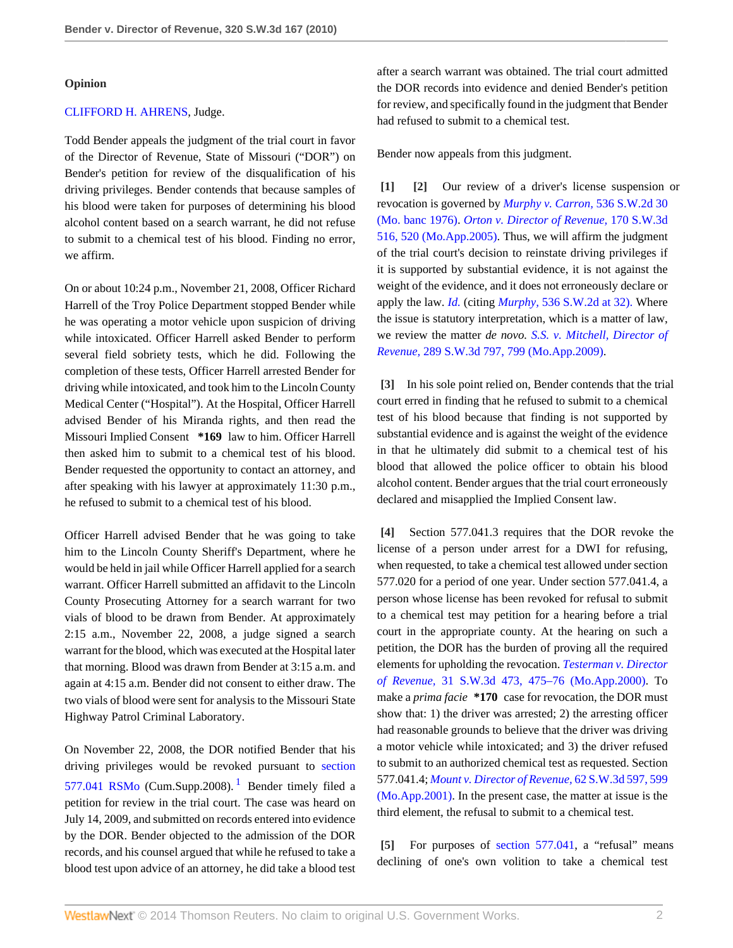## **Opinion**

# [CLIFFORD H. AHRENS](http://www.westlaw.com/Link/Document/FullText?findType=h&pubNum=176284&cite=0236564601&originatingDoc=Icec9d705b4ec11df84cb933efb759da4&refType=RQ&originationContext=document&vr=3.0&rs=cblt1.0&transitionType=DocumentItem&contextData=(sc.Search)), Judge.

Todd Bender appeals the judgment of the trial court in favor of the Director of Revenue, State of Missouri ("DOR") on Bender's petition for review of the disqualification of his driving privileges. Bender contends that because samples of his blood were taken for purposes of determining his blood alcohol content based on a search warrant, he did not refuse to submit to a chemical test of his blood. Finding no error, we affirm.

On or about 10:24 p.m., November 21, 2008, Officer Richard Harrell of the Troy Police Department stopped Bender while he was operating a motor vehicle upon suspicion of driving while intoxicated. Officer Harrell asked Bender to perform several field sobriety tests, which he did. Following the completion of these tests, Officer Harrell arrested Bender for driving while intoxicated, and took him to the Lincoln County Medical Center ("Hospital"). At the Hospital, Officer Harrell advised Bender of his Miranda rights, and then read the Missouri Implied Consent **\*169** law to him. Officer Harrell then asked him to submit to a chemical test of his blood. Bender requested the opportunity to contact an attorney, and after speaking with his lawyer at approximately 11:30 p.m., he refused to submit to a chemical test of his blood.

Officer Harrell advised Bender that he was going to take him to the Lincoln County Sheriff's Department, where he would be held in jail while Officer Harrell applied for a search warrant. Officer Harrell submitted an affidavit to the Lincoln County Prosecuting Attorney for a search warrant for two vials of blood to be drawn from Bender. At approximately 2:15 a.m., November 22, 2008, a judge signed a search warrant for the blood, which was executed at the Hospital later that morning. Blood was drawn from Bender at 3:15 a.m. and again at 4:15 a.m. Bender did not consent to either draw. The two vials of blood were sent for analysis to the Missouri State Highway Patrol Criminal Laboratory.

On November 22, 2008, the DOR notified Bender that his driving privileges would be revoked pursuant to [section](http://www.westlaw.com/Link/Document/FullText?findType=L&pubNum=1000229&cite=MOST577.041&originatingDoc=Icec9d705b4ec11df84cb933efb759da4&refType=LQ&originationContext=document&vr=3.0&rs=cblt1.0&transitionType=DocumentItem&contextData=(sc.Search)) [577.041 RSMo](http://www.westlaw.com/Link/Document/FullText?findType=L&pubNum=1000229&cite=MOST577.041&originatingDoc=Icec9d705b4ec11df84cb933efb759da4&refType=LQ&originationContext=document&vr=3.0&rs=cblt1.0&transitionType=DocumentItem&contextData=(sc.Search)) (Cum.Supp.2008).<sup>[1](#page-2-0)</sup> Bender timely filed a petition for review in the trial court. The case was heard on July 14, 2009, and submitted on records entered into evidence by the DOR. Bender objected to the admission of the DOR records, and his counsel argued that while he refused to take a blood test upon advice of an attorney, he did take a blood test

after a search warrant was obtained. The trial court admitted the DOR records into evidence and denied Bender's petition for review, and specifically found in the judgment that Bender had refused to submit to a chemical test.

Bender now appeals from this judgment.

<span id="page-1-1"></span><span id="page-1-0"></span>**[\[1\]](#page-0-1) [\[2\]](#page-0-2)** Our review of a driver's license suspension or revocation is governed by *[Murphy v. Carron,](http://www.westlaw.com/Link/Document/FullText?findType=Y&serNum=1976117479&pubNum=713&originationContext=document&vr=3.0&rs=cblt1.0&transitionType=DocumentItem&contextData=(sc.Search))* 536 S.W.2d 30 [\(Mo. banc 1976\)](http://www.westlaw.com/Link/Document/FullText?findType=Y&serNum=1976117479&pubNum=713&originationContext=document&vr=3.0&rs=cblt1.0&transitionType=DocumentItem&contextData=(sc.Search)). *[Orton v. Director of Revenue,](http://www.westlaw.com/Link/Document/FullText?findType=Y&serNum=2006877402&pubNum=4644&fi=co_pp_sp_4644_520&originationContext=document&vr=3.0&rs=cblt1.0&transitionType=DocumentItem&contextData=(sc.Search)#co_pp_sp_4644_520)* 170 S.W.3d [516, 520 \(Mo.App.2005\)](http://www.westlaw.com/Link/Document/FullText?findType=Y&serNum=2006877402&pubNum=4644&fi=co_pp_sp_4644_520&originationContext=document&vr=3.0&rs=cblt1.0&transitionType=DocumentItem&contextData=(sc.Search)#co_pp_sp_4644_520). Thus, we will affirm the judgment of the trial court's decision to reinstate driving privileges if it is supported by substantial evidence, it is not against the weight of the evidence, and it does not erroneously declare or apply the law. *[Id.](http://www.westlaw.com/Link/Document/FullText?findType=Y&serNum=2006877402&originationContext=document&vr=3.0&rs=cblt1.0&transitionType=DocumentItem&contextData=(sc.Search))* (citing *Murphy,* [536 S.W.2d at 32\).](http://www.westlaw.com/Link/Document/FullText?findType=Y&serNum=1976117479&pubNum=713&fi=co_pp_sp_713_32&originationContext=document&vr=3.0&rs=cblt1.0&transitionType=DocumentItem&contextData=(sc.Search)#co_pp_sp_713_32) Where the issue is statutory interpretation, which is a matter of law, we review the matter *de novo. [S.S. v. Mitchell, Director of](http://www.westlaw.com/Link/Document/FullText?findType=Y&serNum=2019293333&pubNum=4644&fi=co_pp_sp_4644_799&originationContext=document&vr=3.0&rs=cblt1.0&transitionType=DocumentItem&contextData=(sc.Search)#co_pp_sp_4644_799) Revenue,* [289 S.W.3d 797, 799 \(Mo.App.2009\)](http://www.westlaw.com/Link/Document/FullText?findType=Y&serNum=2019293333&pubNum=4644&fi=co_pp_sp_4644_799&originationContext=document&vr=3.0&rs=cblt1.0&transitionType=DocumentItem&contextData=(sc.Search)#co_pp_sp_4644_799).

<span id="page-1-2"></span>**[\[3\]](#page-0-0)** In his sole point relied on, Bender contends that the trial court erred in finding that he refused to submit to a chemical test of his blood because that finding is not supported by substantial evidence and is against the weight of the evidence in that he ultimately did submit to a chemical test of his blood that allowed the police officer to obtain his blood alcohol content. Bender argues that the trial court erroneously declared and misapplied the Implied Consent law.

<span id="page-1-3"></span>**[\[4\]](#page-0-3)** Section 577.041.3 requires that the DOR revoke the license of a person under arrest for a DWI for refusing, when requested, to take a chemical test allowed under section 577.020 for a period of one year. Under section 577.041.4, a person whose license has been revoked for refusal to submit to a chemical test may petition for a hearing before a trial court in the appropriate county. At the hearing on such a petition, the DOR has the burden of proving all the required elements for upholding the revocation. *[Testerman v. Director](http://www.westlaw.com/Link/Document/FullText?findType=Y&serNum=2000597549&pubNum=4644&fi=co_pp_sp_4644_475&originationContext=document&vr=3.0&rs=cblt1.0&transitionType=DocumentItem&contextData=(sc.Search)#co_pp_sp_4644_475) of Revenue,* [31 S.W.3d 473, 475–76 \(Mo.App.2000\)](http://www.westlaw.com/Link/Document/FullText?findType=Y&serNum=2000597549&pubNum=4644&fi=co_pp_sp_4644_475&originationContext=document&vr=3.0&rs=cblt1.0&transitionType=DocumentItem&contextData=(sc.Search)#co_pp_sp_4644_475). To make a *prima facie* **\*170** case for revocation, the DOR must show that: 1) the driver was arrested; 2) the arresting officer had reasonable grounds to believe that the driver was driving a motor vehicle while intoxicated; and 3) the driver refused to submit to an authorized chemical test as requested. Section 577.041.4; *[Mount v. Director of Revenue,](http://www.westlaw.com/Link/Document/FullText?findType=Y&serNum=2001497623&pubNum=4644&fi=co_pp_sp_4644_599&originationContext=document&vr=3.0&rs=cblt1.0&transitionType=DocumentItem&contextData=(sc.Search)#co_pp_sp_4644_599)* 62 S.W.3d 597, 599 [\(Mo.App.2001\).](http://www.westlaw.com/Link/Document/FullText?findType=Y&serNum=2001497623&pubNum=4644&fi=co_pp_sp_4644_599&originationContext=document&vr=3.0&rs=cblt1.0&transitionType=DocumentItem&contextData=(sc.Search)#co_pp_sp_4644_599) In the present case, the matter at issue is the third element, the refusal to submit to a chemical test.

<span id="page-1-5"></span><span id="page-1-4"></span>**[\[5\]](#page-0-4)** For purposes of [section 577.041](http://www.westlaw.com/Link/Document/FullText?findType=L&pubNum=1000229&cite=MOST577.041&originatingDoc=Icec9d705b4ec11df84cb933efb759da4&refType=LQ&originationContext=document&vr=3.0&rs=cblt1.0&transitionType=DocumentItem&contextData=(sc.Search)), a "refusal" means declining of one's own volition to take a chemical test